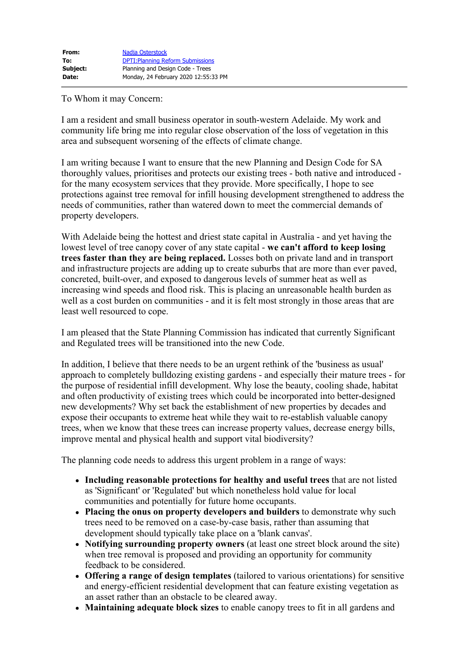| From:    | Nadja Osterstock                         |
|----------|------------------------------------------|
| To:      | <b>DPTI: Planning Reform Submissions</b> |
| Subject: | Planning and Design Code - Trees         |
| Date:    | Monday, 24 February 2020 12:55:33 PM     |

## To Whom it may Concern:

I am a resident and small business operator in south-western Adelaide. My work and community life bring me into regular close observation of the loss of vegetation in this area and subsequent worsening of the effects of climate change.

I am writing because I want to ensure that the new Planning and Design Code for SA thoroughly values, prioritises and protects our existing trees - both native and introduced for the many ecosystem services that they provide. More specifically, I hope to see protections against tree removal for infill housing development strengthened to address the needs of communities, rather than watered down to meet the commercial demands of property developers.

With Adelaide being the hottest and driest state capital in Australia - and yet having the lowest level of tree canopy cover of any state capital - **we can't afford to keep losing trees faster than they are being replaced.** Losses both on private land and in transport and infrastructure projects are adding up to create suburbs that are more than ever paved, concreted, built-over, and exposed to dangerous levels of summer heat as well as increasing wind speeds and flood risk. This is placing an unreasonable health burden as well as a cost burden on communities - and it is felt most strongly in those areas that are least well resourced to cope.

I am pleased that the State Planning Commission has indicated that currently Significant and Regulated trees will be transitioned into the new Code.

In addition, I believe that there needs to be an urgent rethink of the 'business as usual' approach to completely bulldozing existing gardens - and especially their mature trees - for the purpose of residential infill development. Why lose the beauty, cooling shade, habitat and often productivity of existing trees which could be incorporated into better-designed new developments? Why set back the establishment of new properties by decades and expose their occupants to extreme heat while they wait to re-establish valuable canopy trees, when we know that these trees can increase property values, decrease energy bills, improve mental and physical health and support vital biodiversity?

The planning code needs to address this urgent problem in a range of ways:

- **Including reasonable protections for healthy and useful trees** that are not listed as 'Significant' or 'Regulated' but which nonetheless hold value for local communities and potentially for future home occupants.
- **Placing the onus on property developers and builders** to demonstrate why such trees need to be removed on a case-by-case basis, rather than assuming that development should typically take place on a 'blank canvas'.
- **Notifying surrounding property owners** (at least one street block around the site) when tree removal is proposed and providing an opportunity for community feedback to be considered.
- **Offering a range of design templates** (tailored to various orientations) for sensitive and energy-efficient residential development that can feature existing vegetation as an asset rather than an obstacle to be cleared away.
- **Maintaining adequate block sizes** to enable canopy trees to fit in all gardens and